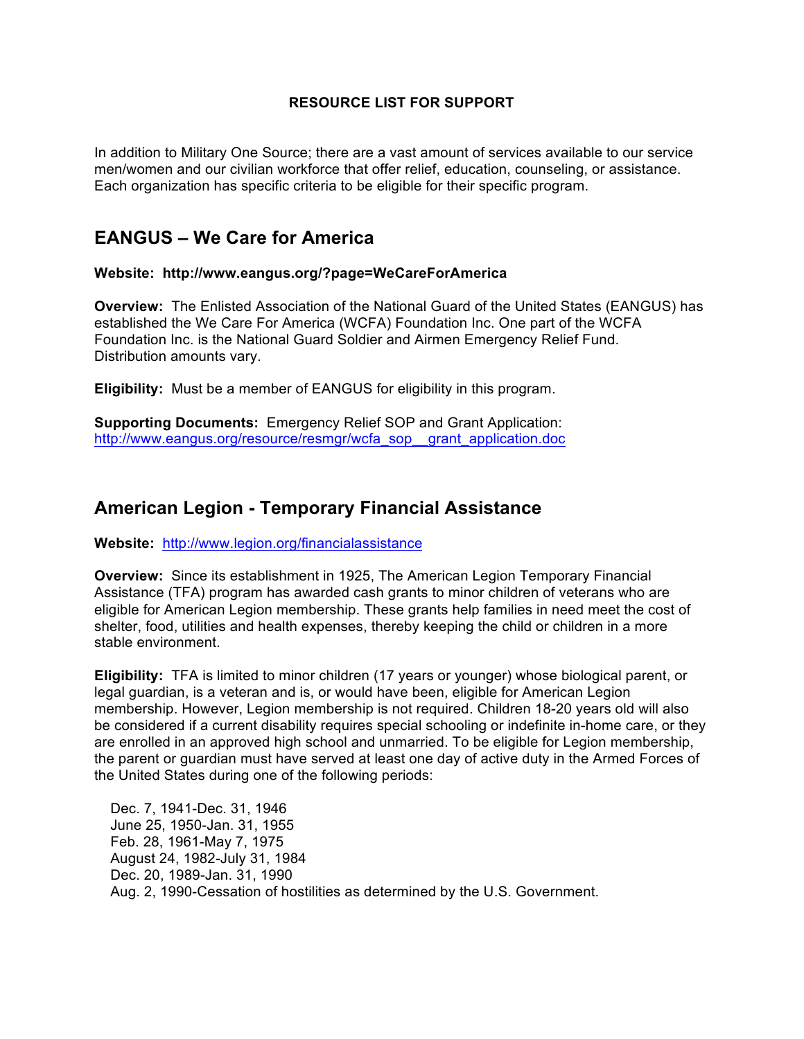### **RESOURCE LIST FOR SUPPORT**

In addition to Military One Source; there are a vast amount of services available to our service men/women and our civilian workforce that offer relief, education, counseling, or assistance. Each organization has specific criteria to be eligible for their specific program.

## **EANGUS – We Care for America**

### **Website: http://www.eangus.org/?page=WeCareForAmerica**

**Overview:** The Enlisted Association of the National Guard of the United States (EANGUS) has established the We Care For America (WCFA) Foundation Inc. One part of the WCFA Foundation Inc. is the National Guard Soldier and Airmen Emergency Relief Fund. Distribution amounts vary.

**Eligibility:** Must be a member of EANGUS for eligibility in this program.

**Supporting Documents:** Emergency Relief SOP and Grant Application: http://www.eangus.org/resource/resmgr/wcfa\_sop\_\_grant\_application.doc

## **American Legion - Temporary Financial Assistance**

**Website:** http://www.legion.org/financialassistance

**Overview:** Since its establishment in 1925, The American Legion Temporary Financial Assistance (TFA) program has awarded cash grants to minor children of veterans who are eligible for American Legion membership. These grants help families in need meet the cost of shelter, food, utilities and health expenses, thereby keeping the child or children in a more stable environment.

**Eligibility:** TFA is limited to minor children (17 years or younger) whose biological parent, or legal guardian, is a veteran and is, or would have been, eligible for American Legion membership. However, Legion membership is not required. Children 18-20 years old will also be considered if a current disability requires special schooling or indefinite in-home care, or they are enrolled in an approved high school and unmarried. To be eligible for Legion membership, the parent or guardian must have served at least one day of active duty in the Armed Forces of the United States during one of the following periods:

 Dec. 7, 1941-Dec. 31, 1946 June 25, 1950-Jan. 31, 1955 Feb. 28, 1961-May 7, 1975 August 24, 1982-July 31, 1984 Dec. 20, 1989-Jan. 31, 1990 Aug. 2, 1990-Cessation of hostilities as determined by the U.S. Government.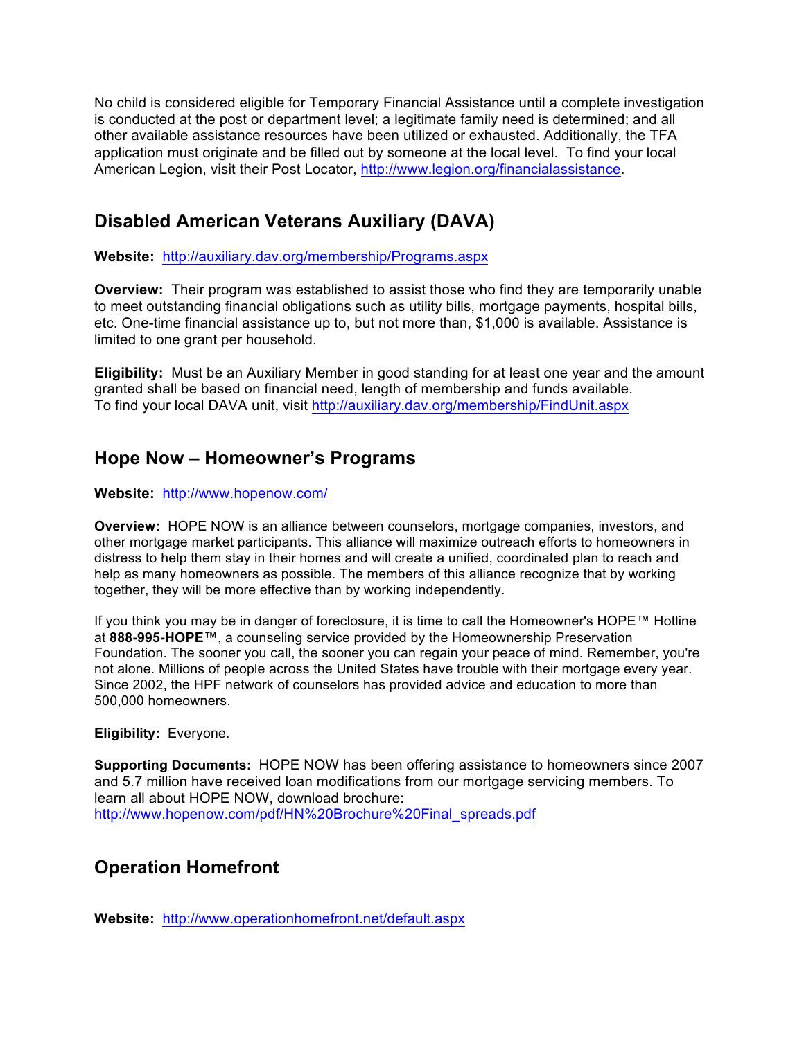No child is considered eligible for Temporary Financial Assistance until a complete investigation is conducted at the post or department level; a legitimate family need is determined; and all other available assistance resources have been utilized or exhausted. Additionally, the TFA application must originate and be filled out by someone at the local level. To find your local American Legion, visit their Post Locator, http://www.legion.org/financialassistance.

# **Disabled American Veterans Auxiliary (DAVA)**

**Website:** http://auxiliary.dav.org/membership/Programs.aspx

**Overview:** Their program was established to assist those who find they are temporarily unable to meet outstanding financial obligations such as utility bills, mortgage payments, hospital bills, etc. One-time financial assistance up to, but not more than, \$1,000 is available. Assistance is limited to one grant per household.

**Eligibility:** Must be an Auxiliary Member in good standing for at least one year and the amount granted shall be based on financial need, length of membership and funds available. To find your local DAVA unit, visit http://auxiliary.dav.org/membership/FindUnit.aspx

# **Hope Now – Homeowner's Programs**

### **Website:** http://www.hopenow.com/

**Overview:** HOPE NOW is an alliance between counselors, mortgage companies, investors, and other mortgage market participants. This alliance will maximize outreach efforts to homeowners in distress to help them stay in their homes and will create a unified, coordinated plan to reach and help as many homeowners as possible. The members of this alliance recognize that by working together, they will be more effective than by working independently.

If you think you may be in danger of foreclosure, it is time to call the Homeowner's HOPE™ Hotline at **888-995-HOPE**™, a counseling service provided by the Homeownership Preservation Foundation. The sooner you call, the sooner you can regain your peace of mind. Remember, you're not alone. Millions of people across the United States have trouble with their mortgage every year. Since 2002, the HPF network of counselors has provided advice and education to more than 500,000 homeowners.

### **Eligibility:** Everyone.

**Supporting Documents:** HOPE NOW has been offering assistance to homeowners since 2007 and 5.7 million have received loan modifications from our mortgage servicing members. To learn all about HOPE NOW, download brochure: http://www.hopenow.com/pdf/HN%20Brochure%20Final\_spreads.pdf

# **Operation Homefront**

**Website:** http://www.operationhomefront.net/default.aspx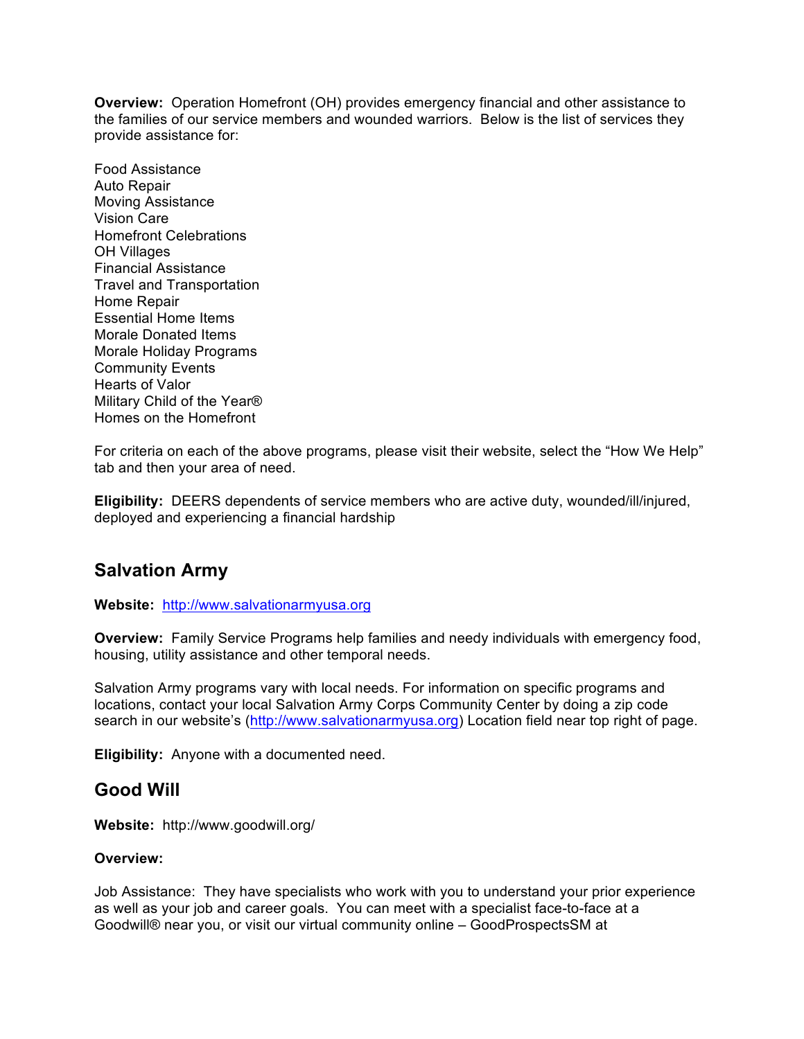**Overview:** Operation Homefront (OH) provides emergency financial and other assistance to the families of our service members and wounded warriors. Below is the list of services they provide assistance for:

Food Assistance Auto Repair Moving Assistance Vision Care Homefront Celebrations OH Villages Financial Assistance Travel and Transportation Home Repair Essential Home Items Morale Donated Items Morale Holiday Programs Community Events Hearts of Valor Military Child of the Year® Homes on the Homefront

For criteria on each of the above programs, please visit their website, select the "How We Help" tab and then your area of need.

**Eligibility:** DEERS dependents of service members who are active duty, wounded/ill/injured, deployed and experiencing a financial hardship

## **Salvation Army**

**Website:** http://www.salvationarmyusa.org

**Overview:** Family Service Programs help families and needy individuals with emergency food, housing, utility assistance and other temporal needs.

Salvation Army programs vary with local needs. For information on specific programs and locations, contact your local Salvation Army Corps Community Center by doing a zip code search in our website's (http://www.salvationarmyusa.org) Location field near top right of page.

**Eligibility:** Anyone with a documented need.

### **Good Will**

**Website:** http://www.goodwill.org/

### **Overview:**

Job Assistance: They have specialists who work with you to understand your prior experience as well as your job and career goals. You can meet with a specialist face-to-face at a Goodwill® near you, or visit our virtual community online – GoodProspectsSM at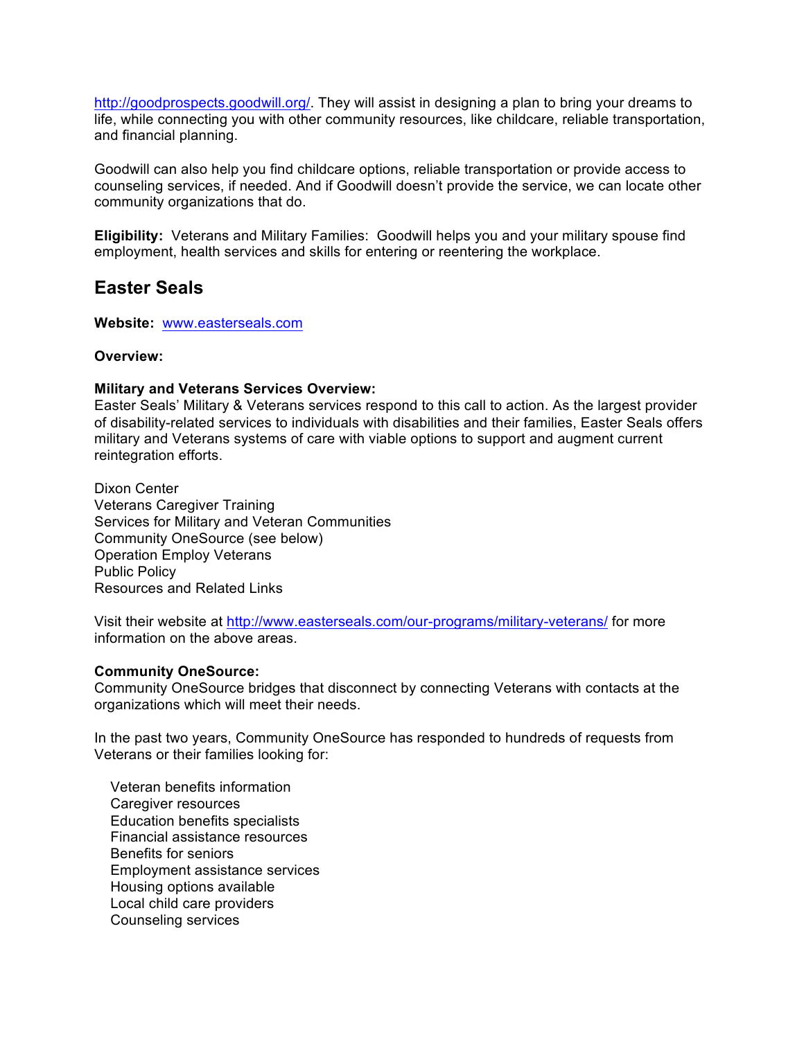http://goodprospects.goodwill.org/. They will assist in designing a plan to bring your dreams to life, while connecting you with other community resources, like childcare, reliable transportation, and financial planning.

Goodwill can also help you find childcare options, reliable transportation or provide access to counseling services, if needed. And if Goodwill doesn't provide the service, we can locate other community organizations that do.

**Eligibility:** Veterans and Military Families: Goodwill helps you and your military spouse find employment, health services and skills for entering or reentering the workplace.

## **Easter Seals**

**Website:** www.easterseals.com

### **Overview:**

### **Military and Veterans Services Overview:**

Easter Seals' Military & Veterans services respond to this call to action. As the largest provider of disability-related services to individuals with disabilities and their families, Easter Seals offers military and Veterans systems of care with viable options to support and augment current reintegration efforts.

Dixon Center Veterans Caregiver Training Services for Military and Veteran Communities Community OneSource (see below) Operation Employ Veterans Public Policy Resources and Related Links

Visit their website at http://www.easterseals.com/our-programs/military-veterans/ for more information on the above areas.

### **Community OneSource:**

Community OneSource bridges that disconnect by connecting Veterans with contacts at the organizations which will meet their needs.

In the past two years, Community OneSource has responded to hundreds of requests from Veterans or their families looking for:

 Veteran benefits information Caregiver resources Education benefits specialists Financial assistance resources Benefits for seniors Employment assistance services Housing options available Local child care providers Counseling services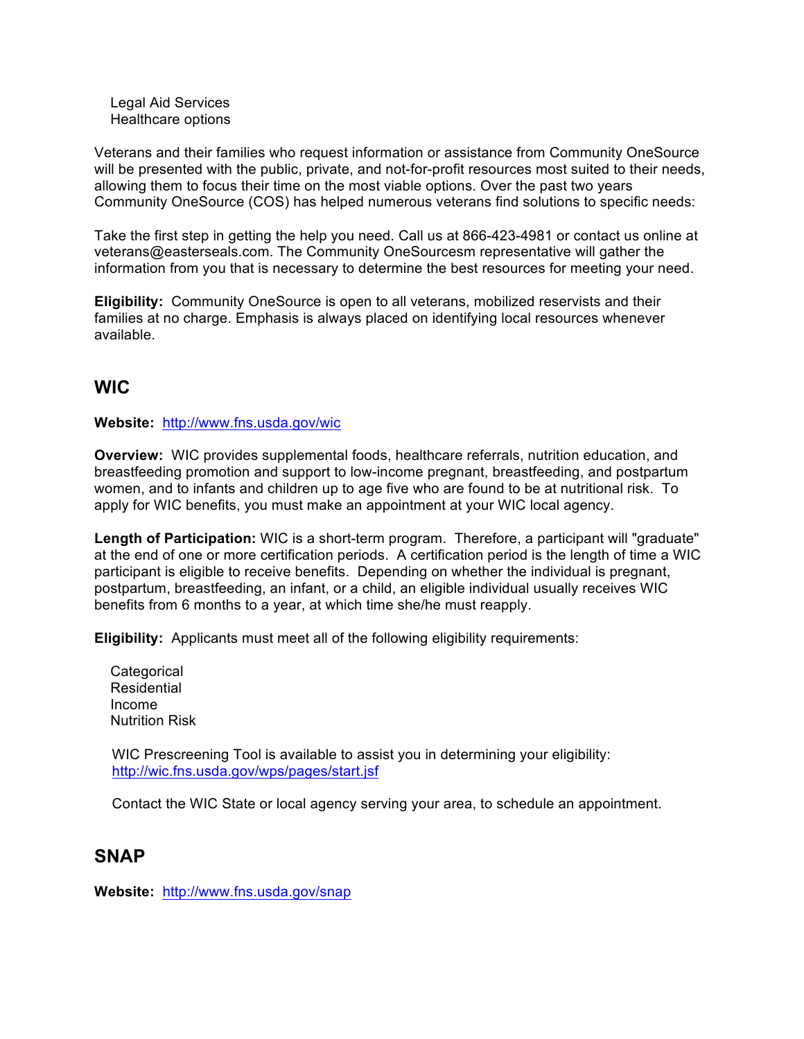Legal Aid Services Healthcare options

Veterans and their families who request information or assistance from Community OneSource will be presented with the public, private, and not-for-profit resources most suited to their needs, allowing them to focus their time on the most viable options. Over the past two years Community OneSource (COS) has helped numerous veterans find solutions to specific needs:

Take the first step in getting the help you need. Call us at 866-423-4981 or contact us online at veterans@easterseals.com. The Community OneSourcesm representative will gather the information from you that is necessary to determine the best resources for meeting your need.

**Eligibility:** Community OneSource is open to all veterans, mobilized reservists and their families at no charge. Emphasis is always placed on identifying local resources whenever available.

## **WIC**

### **Website:** http://www.fns.usda.gov/wic

**Overview:** WIC provides supplemental foods, healthcare referrals, nutrition education, and breastfeeding promotion and support to low-income pregnant, breastfeeding, and postpartum women, and to infants and children up to age five who are found to be at nutritional risk. To apply for WIC benefits, you must make an appointment at your WIC local agency.

**Length of Participation:** WIC is a short-term program. Therefore, a participant will "graduate" at the end of one or more certification periods. A certification period is the length of time a WIC participant is eligible to receive benefits. Depending on whether the individual is pregnant, postpartum, breastfeeding, an infant, or a child, an eligible individual usually receives WIC benefits from 6 months to a year, at which time she/he must reapply.

**Eligibility:** Applicants must meet all of the following eligibility requirements:

**Categorical Residential**  Income Nutrition Risk

WIC Prescreening Tool is available to assist you in determining your eligibility: http://wic.fns.usda.gov/wps/pages/start.jsf

Contact the WIC State or local agency serving your area, to schedule an appointment.

### **SNAP**

**Website:** http://www.fns.usda.gov/snap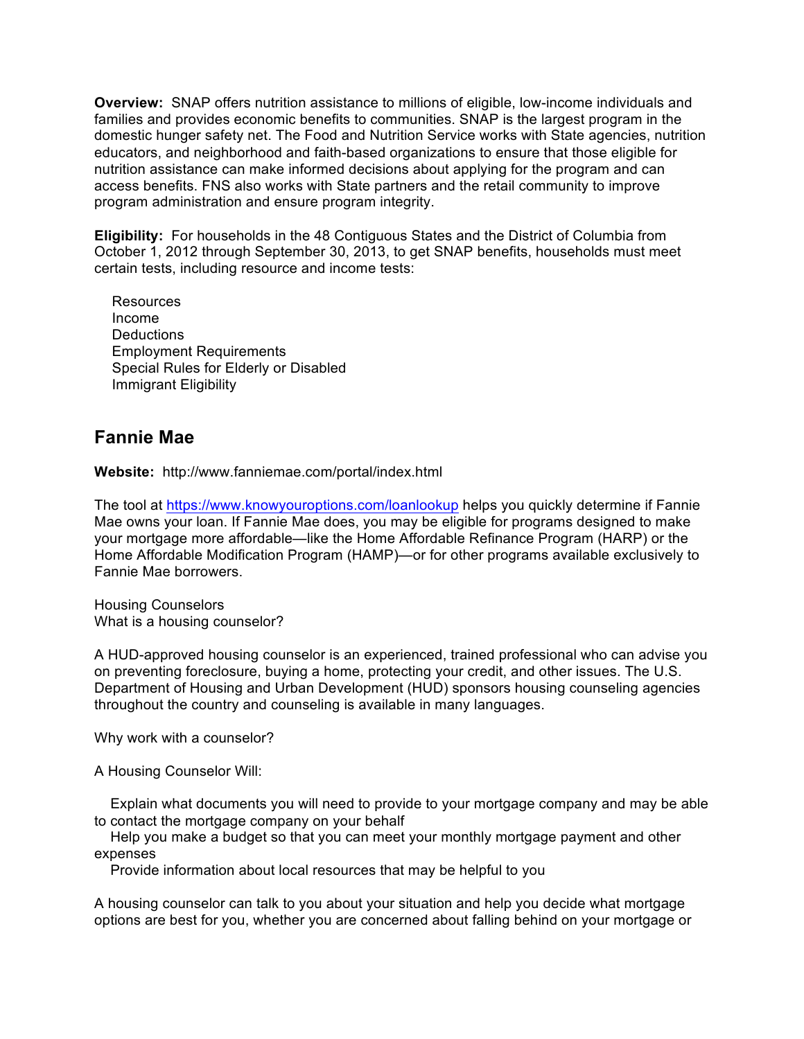**Overview:** SNAP offers nutrition assistance to millions of eligible, low-income individuals and families and provides economic benefits to communities. SNAP is the largest program in the domestic hunger safety net. The Food and Nutrition Service works with State agencies, nutrition educators, and neighborhood and faith-based organizations to ensure that those eligible for nutrition assistance can make informed decisions about applying for the program and can access benefits. FNS also works with State partners and the retail community to improve program administration and ensure program integrity.

**Eligibility:** For households in the 48 Contiguous States and the District of Columbia from October 1, 2012 through September 30, 2013, to get SNAP benefits, households must meet certain tests, including resource and income tests:

Resources Income **Deductions** Employment Requirements Special Rules for Elderly or Disabled Immigrant Eligibility

## **Fannie Mae**

**Website:** http://www.fanniemae.com/portal/index.html

The tool at https://www.knowyouroptions.com/loanlookup helps you quickly determine if Fannie Mae owns your loan. If Fannie Mae does, you may be eligible for programs designed to make your mortgage more affordable—like the Home Affordable Refinance Program (HARP) or the Home Affordable Modification Program (HAMP)—or for other programs available exclusively to Fannie Mae borrowers.

Housing Counselors What is a housing counselor?

A HUD-approved housing counselor is an experienced, trained professional who can advise you on preventing foreclosure, buying a home, protecting your credit, and other issues. The U.S. Department of Housing and Urban Development (HUD) sponsors housing counseling agencies throughout the country and counseling is available in many languages.

Why work with a counselor?

A Housing Counselor Will:

 Explain what documents you will need to provide to your mortgage company and may be able to contact the mortgage company on your behalf

 Help you make a budget so that you can meet your monthly mortgage payment and other expenses

Provide information about local resources that may be helpful to you

A housing counselor can talk to you about your situation and help you decide what mortgage options are best for you, whether you are concerned about falling behind on your mortgage or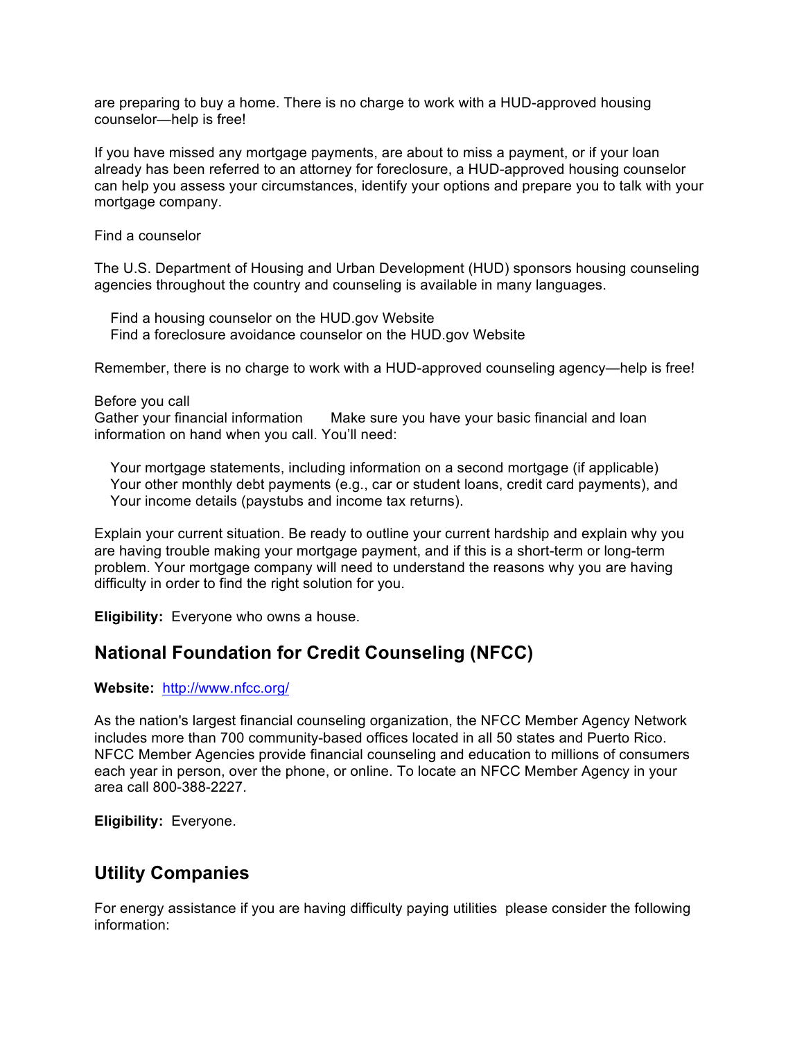are preparing to buy a home. There is no charge to work with a HUD-approved housing counselor—help is free!

If you have missed any mortgage payments, are about to miss a payment, or if your loan already has been referred to an attorney for foreclosure, a HUD-approved housing counselor can help you assess your circumstances, identify your options and prepare you to talk with your mortgage company.

Find a counselor

The U.S. Department of Housing and Urban Development (HUD) sponsors housing counseling agencies throughout the country and counseling is available in many languages.

 Find a housing counselor on the HUD.gov Website Find a foreclosure avoidance counselor on the HUD.gov Website

Remember, there is no charge to work with a HUD-approved counseling agency—help is free!

### Before you call

Gather your financial information Make sure you have your basic financial and loan information on hand when you call. You'll need:

 Your mortgage statements, including information on a second mortgage (if applicable) Your other monthly debt payments (e.g., car or student loans, credit card payments), and Your income details (paystubs and income tax returns).

Explain your current situation. Be ready to outline your current hardship and explain why you are having trouble making your mortgage payment, and if this is a short-term or long-term problem. Your mortgage company will need to understand the reasons why you are having difficulty in order to find the right solution for you.

**Eligibility:** Everyone who owns a house.

## **National Foundation for Credit Counseling (NFCC)**

### **Website:** http://www.nfcc.org/

As the nation's largest financial counseling organization, the NFCC Member Agency Network includes more than 700 community-based offices located in all 50 states and Puerto Rico. NFCC Member Agencies provide financial counseling and education to millions of consumers each year in person, over the phone, or online. To locate an NFCC Member Agency in your area call 800-388-2227.

**Eligibility:** Everyone.

### **Utility Companies**

For energy assistance if you are having difficulty paying utilities please consider the following information: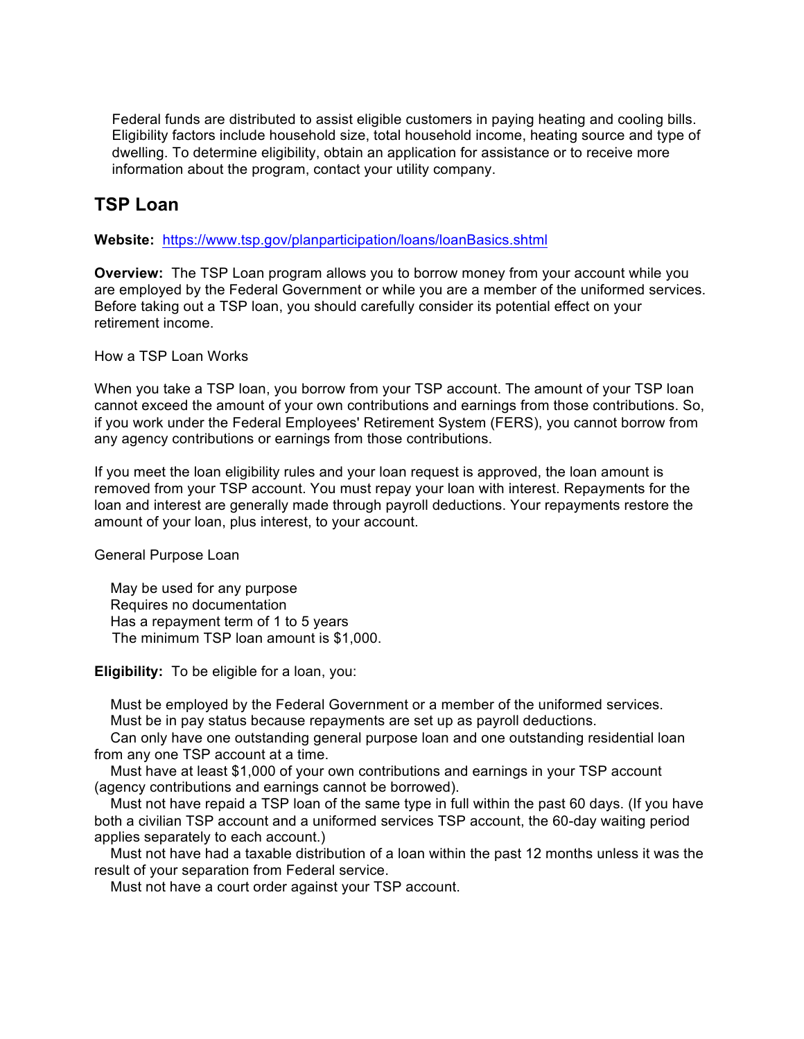Federal funds are distributed to assist eligible customers in paying heating and cooling bills. Eligibility factors include household size, total household income, heating source and type of dwelling. To determine eligibility, obtain an application for assistance or to receive more information about the program, contact your utility company.

## **TSP Loan**

**Website:** https://www.tsp.gov/planparticipation/loans/loanBasics.shtml

**Overview:** The TSP Loan program allows you to borrow money from your account while you are employed by the Federal Government or while you are a member of the uniformed services. Before taking out a TSP loan, you should carefully consider its potential effect on your retirement income.

How a TSP Loan Works

When you take a TSP loan, you borrow from your TSP account. The amount of your TSP loan cannot exceed the amount of your own contributions and earnings from those contributions. So, if you work under the Federal Employees' Retirement System (FERS), you cannot borrow from any agency contributions or earnings from those contributions.

If you meet the loan eligibility rules and your loan request is approved, the loan amount is removed from your TSP account. You must repay your loan with interest. Repayments for the loan and interest are generally made through payroll deductions. Your repayments restore the amount of your loan, plus interest, to your account.

General Purpose Loan

 May be used for any purpose Requires no documentation Has a repayment term of 1 to 5 years The minimum TSP loan amount is \$1,000.

**Eligibility:** To be eligible for a loan, you:

 Must be employed by the Federal Government or a member of the uniformed services. Must be in pay status because repayments are set up as payroll deductions.

 Can only have one outstanding general purpose loan and one outstanding residential loan from any one TSP account at a time.

 Must have at least \$1,000 of your own contributions and earnings in your TSP account (agency contributions and earnings cannot be borrowed).

 Must not have repaid a TSP loan of the same type in full within the past 60 days. (If you have both a civilian TSP account and a uniformed services TSP account, the 60-day waiting period applies separately to each account.)

 Must not have had a taxable distribution of a loan within the past 12 months unless it was the result of your separation from Federal service.

Must not have a court order against your TSP account.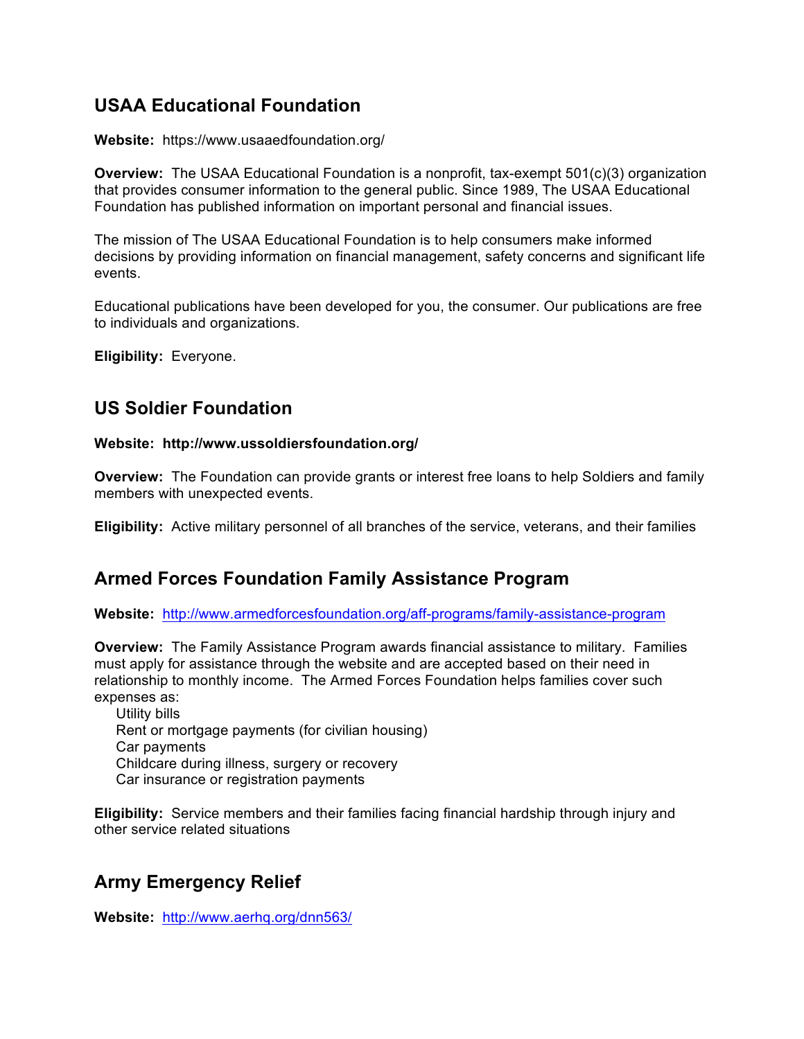# **USAA Educational Foundation**

**Website:** https://www.usaaedfoundation.org/

**Overview:** The USAA Educational Foundation is a nonprofit, tax-exempt 501(c)(3) organization that provides consumer information to the general public. Since 1989, The USAA Educational Foundation has published information on important personal and financial issues.

The mission of The USAA Educational Foundation is to help consumers make informed decisions by providing information on financial management, safety concerns and significant life events.

Educational publications have been developed for you, the consumer. Our publications are free to individuals and organizations.

**Eligibility:** Everyone.

# **US Soldier Foundation**

### **Website: http://www.ussoldiersfoundation.org/**

**Overview:** The Foundation can provide grants or interest free loans to help Soldiers and family members with unexpected events.

**Eligibility:** Active military personnel of all branches of the service, veterans, and their families

# **Armed Forces Foundation Family Assistance Program**

**Website:** http://www.armedforcesfoundation.org/aff-programs/family-assistance-program

**Overview:** The Family Assistance Program awards financial assistance to military. Families must apply for assistance through the website and are accepted based on their need in relationship to monthly income. The Armed Forces Foundation helps families cover such expenses as:

Utility bills Rent or mortgage payments (for civilian housing) Car payments Childcare during illness, surgery or recovery Car insurance or registration payments

**Eligibility:** Service members and their families facing financial hardship through injury and other service related situations

# **Army Emergency Relief**

**Website:** http://www.aerhq.org/dnn563/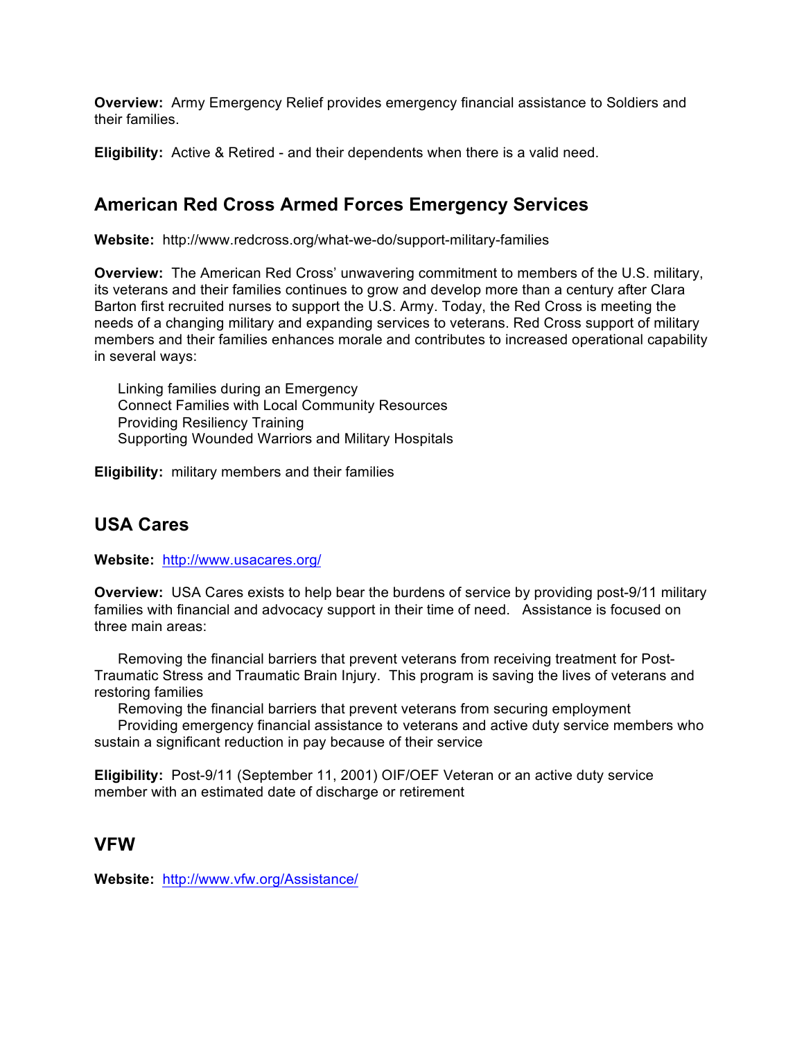**Overview:** Army Emergency Relief provides emergency financial assistance to Soldiers and their families.

**Eligibility:** Active & Retired - and their dependents when there is a valid need.

# **American Red Cross Armed Forces Emergency Services**

**Website:** http://www.redcross.org/what-we-do/support-military-families

**Overview:** The American Red Cross' unwavering commitment to members of the U.S. military, its veterans and their families continues to grow and develop more than a century after Clara Barton first recruited nurses to support the U.S. Army. Today, the Red Cross is meeting the needs of a changing military and expanding services to veterans. Red Cross support of military members and their families enhances morale and contributes to increased operational capability in several ways:

Linking families during an Emergency Connect Families with Local Community Resources Providing Resiliency Training Supporting Wounded Warriors and Military Hospitals

**Eligibility:** military members and their families

# **USA Cares**

**Website:** http://www.usacares.org/

**Overview:** USA Cares exists to help bear the burdens of service by providing post-9/11 military families with financial and advocacy support in their time of need. Assistance is focused on three main areas:

Removing the financial barriers that prevent veterans from receiving treatment for Post-Traumatic Stress and Traumatic Brain Injury. This program is saving the lives of veterans and restoring families

Removing the financial barriers that prevent veterans from securing employment

Providing emergency financial assistance to veterans and active duty service members who sustain a significant reduction in pay because of their service

**Eligibility:** Post-9/11 (September 11, 2001) OIF/OEF Veteran or an active duty service member with an estimated date of discharge or retirement

### **VFW**

**Website:** http://www.vfw.org/Assistance/